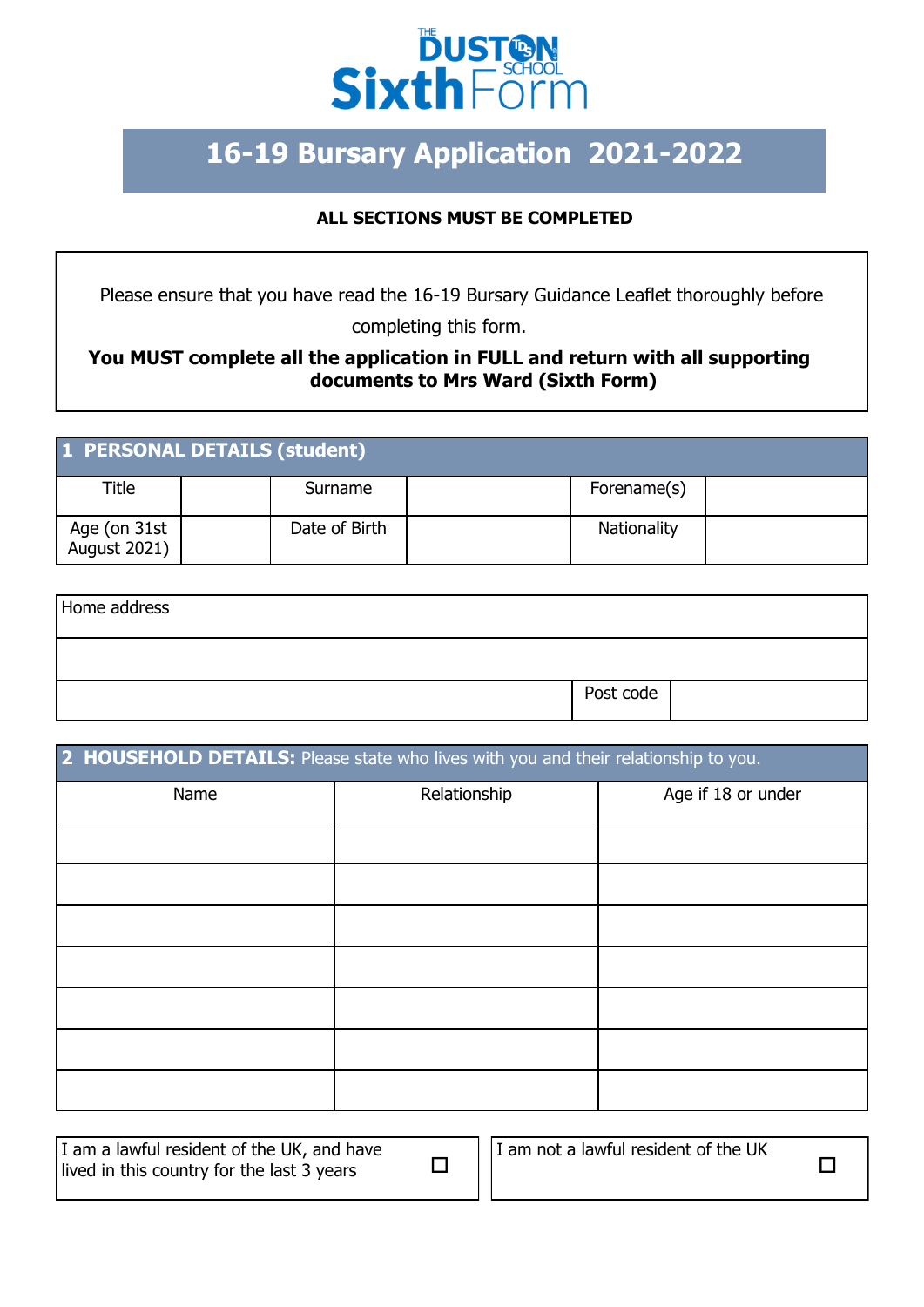

## **16-19 Bursary Application 2021-2022**

## **ALL SECTIONS MUST BE COMPLETED**

Please ensure that you have read the 16-19 Bursary Guidance Leaflet thoroughly before completing this form.

## **You MUST complete all the application in FULL and return with all supporting documents to Mrs Ward (Sixth Form)**

| 1 PERSONAL DETAILS (student) |               |             |  |  |
|------------------------------|---------------|-------------|--|--|
| Title                        | Surname       | Forename(s) |  |  |
| Age (on 31st<br>August 2021) | Date of Birth | Nationality |  |  |

| Home address |           |  |
|--------------|-----------|--|
|              |           |  |
|              | Post code |  |

| 2 HOUSEHOLD DETAILS: Please state who lives with you and their relationship to you. |              |                    |  |  |
|-------------------------------------------------------------------------------------|--------------|--------------------|--|--|
| Name                                                                                | Relationship | Age if 18 or under |  |  |
|                                                                                     |              |                    |  |  |
|                                                                                     |              |                    |  |  |
|                                                                                     |              |                    |  |  |
|                                                                                     |              |                    |  |  |
|                                                                                     |              |                    |  |  |
|                                                                                     |              |                    |  |  |
|                                                                                     |              |                    |  |  |

| I am a lawful resident of the UK, and have<br>lived in this country for the last 3 years | I am not a lawful resident of the UK |  |
|------------------------------------------------------------------------------------------|--------------------------------------|--|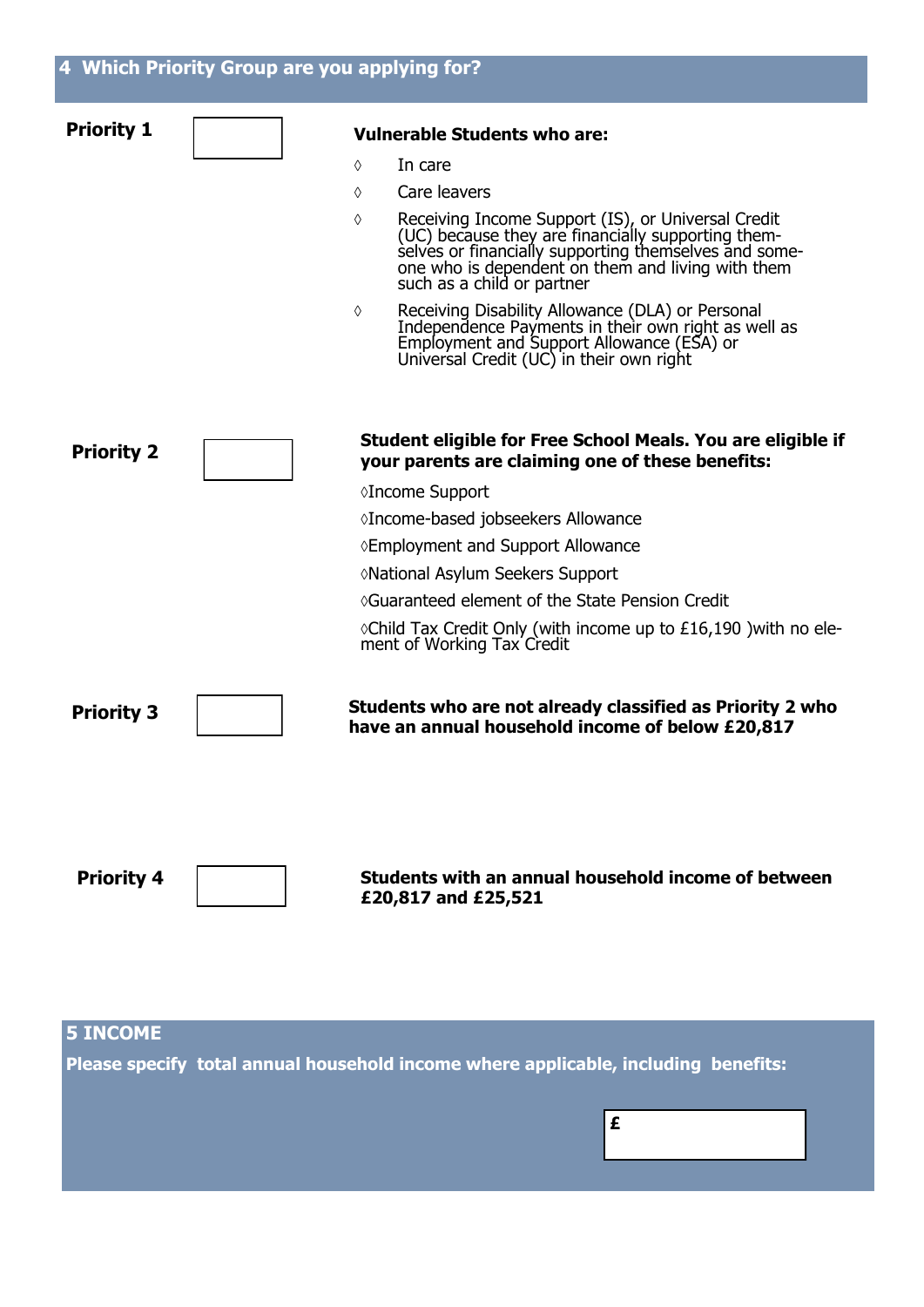| <b>Priority 1</b> | <b>Vulnerable Students who are:</b>                                                                                                                                                                                                          |
|-------------------|----------------------------------------------------------------------------------------------------------------------------------------------------------------------------------------------------------------------------------------------|
|                   | In care<br>♦                                                                                                                                                                                                                                 |
|                   | Care leavers<br>♦                                                                                                                                                                                                                            |
|                   | Receiving Income Support (IS), or Universal Credit (UC) because they are financially supporting themselves or financially supporting themselves and someone who is dependent on them and living with them<br>♦<br>such as a child or partner |
|                   | Receiving Disability Allowance (DLA) or Personal<br>Independence Payments in their own right as well as<br>Employment and Support Allowance (ESA) or<br>Universal Credit (UC) in their own right<br>♦                                        |
| <b>Priority 2</b> | Student eligible for Free School Meals. You are eligible if<br>your parents are claiming one of these benefits:                                                                                                                              |
|                   | ◊Income Support                                                                                                                                                                                                                              |
|                   | ◊Income-based jobseekers Allowance                                                                                                                                                                                                           |
|                   | ◊ Employment and Support Allowance                                                                                                                                                                                                           |
|                   | ◊National Asylum Seekers Support                                                                                                                                                                                                             |
|                   | ◊Guaranteed element of the State Pension Credit                                                                                                                                                                                              |
|                   | $\Diamond$ Child Tax Credit Only (with income up to £16,190 ) with no ele-<br>ment of Working Tax Credit                                                                                                                                     |
| <b>Priority 3</b> | Students who are not already classified as Priority 2 who<br>have an annual household income of below £20,817                                                                                                                                |
| <b>Priority 4</b> | Students with an annual household income of between<br>£20,817 and £25,521                                                                                                                                                                   |
| <b>5 INCOME</b>   |                                                                                                                                                                                                                                              |

**Please specify total annual household income where applicable, including benefits:** 

**£**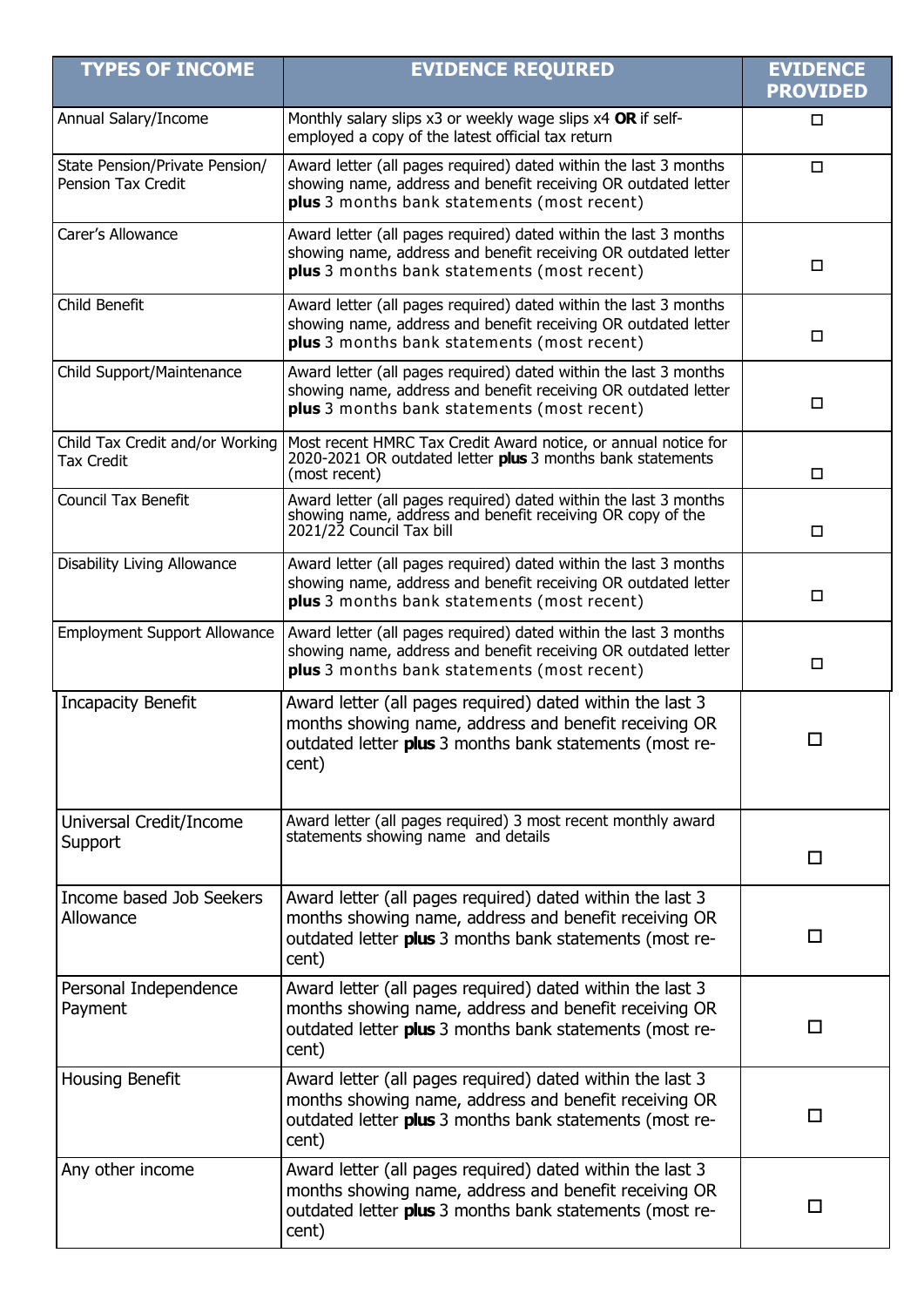| <b>TYPES OF INCOME</b>                               | <b>EVIDENCE REQUIRED</b>                                                                                                                                                               | <b>EVIDENCE</b><br><b>PROVIDED</b> |
|------------------------------------------------------|----------------------------------------------------------------------------------------------------------------------------------------------------------------------------------------|------------------------------------|
| Annual Salary/Income                                 | Monthly salary slips x3 or weekly wage slips x4 OR if self-<br>employed a copy of the latest official tax return                                                                       | □                                  |
| State Pension/Private Pension/<br>Pension Tax Credit | Award letter (all pages required) dated within the last 3 months<br>showing name, address and benefit receiving OR outdated letter<br>plus 3 months bank statements (most recent)      | $\Box$                             |
| Carer's Allowance                                    | Award letter (all pages required) dated within the last 3 months<br>showing name, address and benefit receiving OR outdated letter<br>plus 3 months bank statements (most recent)      | □                                  |
| Child Benefit                                        | Award letter (all pages required) dated within the last 3 months<br>showing name, address and benefit receiving OR outdated letter<br>plus 3 months bank statements (most recent)      | $\Box$                             |
| Child Support/Maintenance                            | Award letter (all pages required) dated within the last 3 months<br>showing name, address and benefit receiving OR outdated letter<br>plus 3 months bank statements (most recent)      | $\Box$                             |
| Child Tax Credit and/or Working<br><b>Tax Credit</b> | Most recent HMRC Tax Credit Award notice, or annual notice for<br>2020-2021 OR outdated letter plus 3 months bank statements<br>(most recent)                                          | $\Box$                             |
| <b>Council Tax Benefit</b>                           | Award letter (all pages required) dated within the last 3 months<br>showing name, address and benefit receiving OR copy of the<br>2021/22 Council Tax bill                             | □                                  |
| Disability Living Allowance                          | Award letter (all pages required) dated within the last 3 months<br>showing name, address and benefit receiving OR outdated letter<br>plus 3 months bank statements (most recent)      | □                                  |
| <b>Employment Support Allowance</b>                  | Award letter (all pages required) dated within the last 3 months<br>showing name, address and benefit receiving OR outdated letter<br>plus 3 months bank statements (most recent)      | □                                  |
| <b>Incapacity Benefit</b>                            | Award letter (all pages required) dated within the last 3<br>months showing name, address and benefit receiving OR<br>outdated letter plus 3 months bank statements (most re-<br>cent) | □                                  |
| Universal Credit/Income<br>Support                   | Award letter (all pages required) 3 most recent monthly award<br>statements showing name and details                                                                                   | □                                  |
| Income based Job Seekers<br>Allowance                | Award letter (all pages required) dated within the last 3<br>months showing name, address and benefit receiving OR<br>outdated letter plus 3 months bank statements (most re-<br>cent) | □                                  |
| Personal Independence<br>Payment                     | Award letter (all pages required) dated within the last 3<br>months showing name, address and benefit receiving OR<br>outdated letter plus 3 months bank statements (most re-<br>cent) | □                                  |
| <b>Housing Benefit</b>                               | Award letter (all pages required) dated within the last 3<br>months showing name, address and benefit receiving OR<br>outdated letter plus 3 months bank statements (most re-<br>cent) | П                                  |
| Any other income                                     | Award letter (all pages required) dated within the last 3<br>months showing name, address and benefit receiving OR<br>outdated letter plus 3 months bank statements (most re-<br>cent) | П                                  |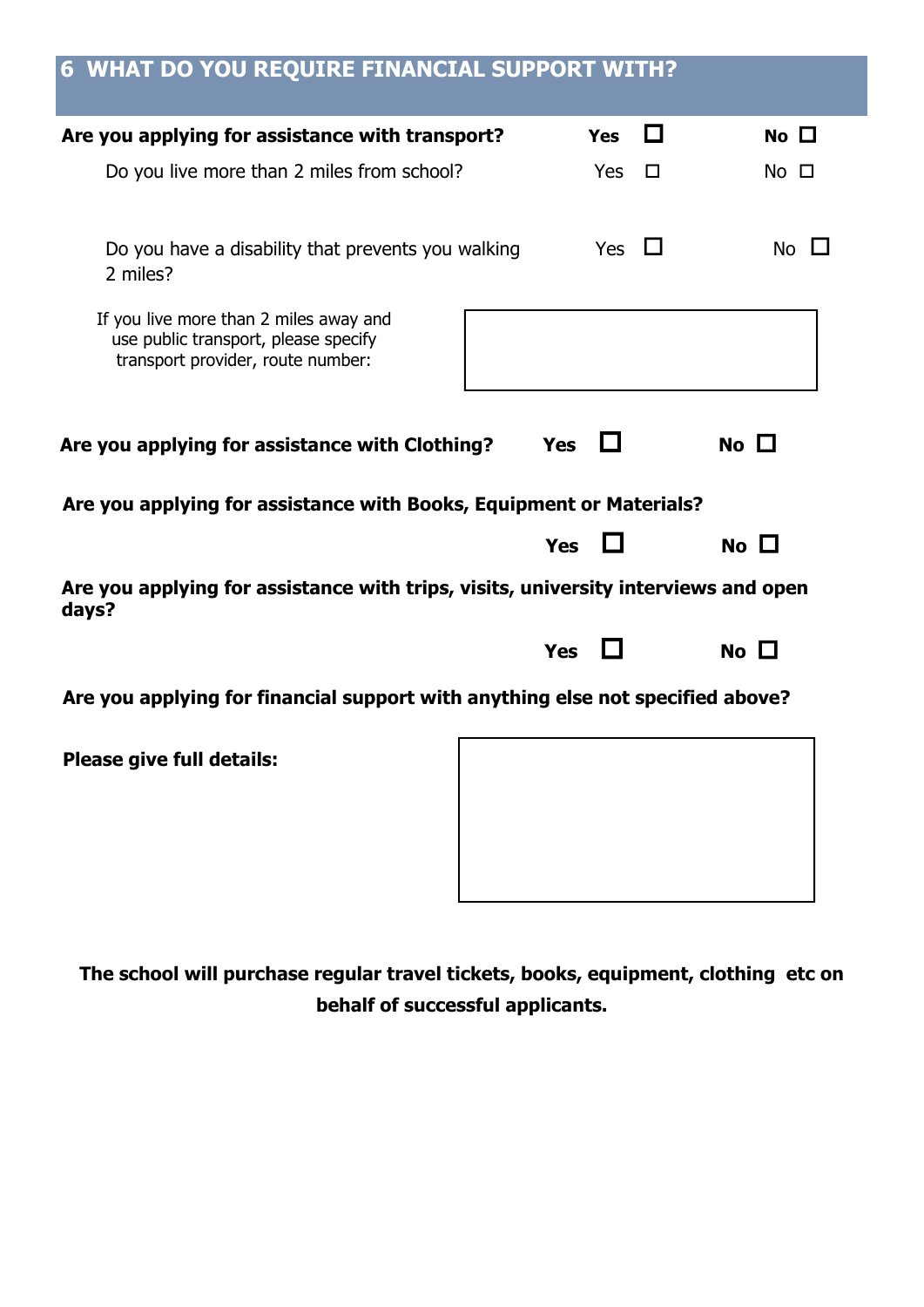| <b>6 WHAT DO YOU REQUIRE FINANCIAL SUPPORT WITH?</b>                                                                |            |            |        |           |
|---------------------------------------------------------------------------------------------------------------------|------------|------------|--------|-----------|
| Are you applying for assistance with transport?                                                                     |            | <b>Yes</b> | a s    | No $\Box$ |
| Do you live more than 2 miles from school?                                                                          |            | <b>Yes</b> | $\Box$ | No □      |
| Do you have a disability that prevents you walking<br>2 miles?                                                      |            | Yes        |        | No l      |
| If you live more than 2 miles away and<br>use public transport, please specify<br>transport provider, route number: |            |            |        |           |
| Yes $\Box$<br>No $\Box$<br>Are you applying for assistance with Clothing?                                           |            |            |        |           |
| Are you applying for assistance with Books, Equipment or Materials?                                                 |            |            |        |           |
|                                                                                                                     |            |            |        |           |
|                                                                                                                     | <b>Yes</b> |            |        | No $\Box$ |
| Are you applying for assistance with trips, visits, university interviews and open<br>days?                         |            |            |        |           |
|                                                                                                                     | Yes        |            |        | No $\Box$ |
| Are you applying for financial support with anything else not specified above?                                      |            |            |        |           |
| <b>Please give full details:</b>                                                                                    |            |            |        |           |
|                                                                                                                     |            |            |        |           |
|                                                                                                                     |            |            |        |           |

**The school will purchase regular travel tickets, books, equipment, clothing etc on behalf of successful applicants.**